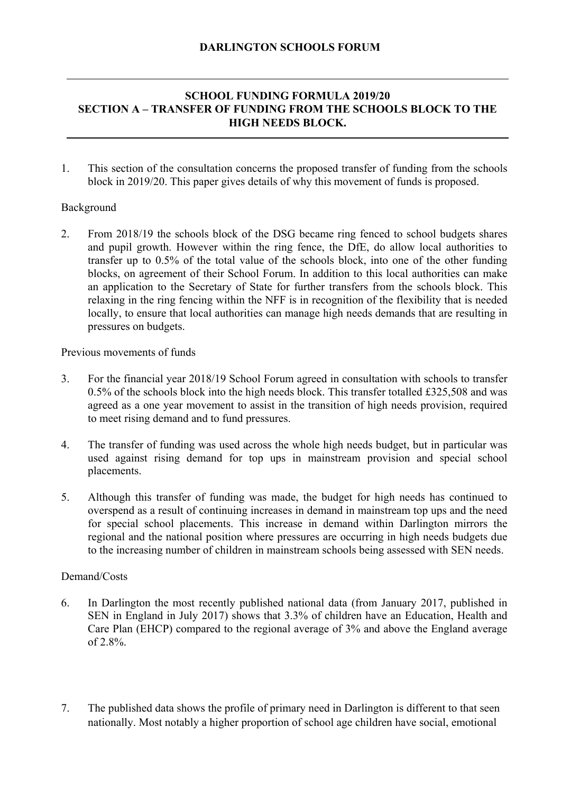## **SCHOOL FUNDING FORMULA 2019/20 SECTION A – TRANSFER OF FUNDING FROM THE SCHOOLS BLOCK TO THE HIGH NEEDS BLOCK.**

1. This section of the consultation concerns the proposed transfer of funding from the schools block in 2019/20. This paper gives details of why this movement of funds is proposed.

## Background

2. From 2018/19 the schools block of the DSG became ring fenced to school budgets shares and pupil growth. However within the ring fence, the DfE, do allow local authorities to transfer up to 0.5% of the total value of the schools block, into one of the other funding blocks, on agreement of their School Forum. In addition to this local authorities can make an application to the Secretary of State for further transfers from the schools block. This relaxing in the ring fencing within the NFF is in recognition of the flexibility that is needed locally, to ensure that local authorities can manage high needs demands that are resulting in pressures on budgets.

Previous movements of funds

- 3. For the financial year 2018/19 School Forum agreed in consultation with schools to transfer 0.5% of the schools block into the high needs block. This transfer totalled £325,508 and was agreed as a one year movement to assist in the transition of high needs provision, required to meet rising demand and to fund pressures.
- 4. The transfer of funding was used across the whole high needs budget, but in particular was used against rising demand for top ups in mainstream provision and special school placements.
- 5. Although this transfer of funding was made, the budget for high needs has continued to overspend as a result of continuing increases in demand in mainstream top ups and the need for special school placements. This increase in demand within Darlington mirrors the regional and the national position where pressures are occurring in high needs budgets due to the increasing number of children in mainstream schools being assessed with SEN needs.

#### Demand/Costs

- 6. In Darlington the most recently published national data (from January 2017, published in SEN in England in July 2017) shows that 3.3% of children have an Education, Health and Care Plan (EHCP) compared to the regional average of 3% and above the England average of 2.8%.
- 7. The published data shows the profile of primary need in Darlington is different to that seen nationally. Most notably a higher proportion of school age children have social, emotional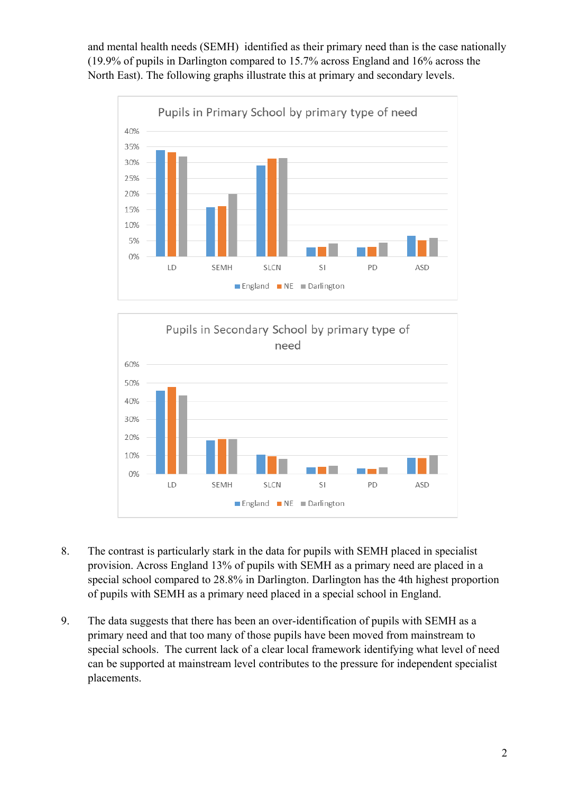and mental health needs (SEMH) identified as their primary need than is the case nationally (19.9% of pupils in Darlington compared to 15.7% across England and 16% across the North East). The following graphs illustrate this at primary and secondary levels.





- 8. The contrast is particularly stark in the data for pupils with SEMH placed in specialist provision. Across England 13% of pupils with SEMH as a primary need are placed in a special school compared to 28.8% in Darlington. Darlington has the 4th highest proportion of pupils with SEMH as a primary need placed in a special school in England.
- placements. 9. The data suggests that there has been an over-identification of pupils with SEMH as a primary need and that too many of those pupils have been moved from mainstream to special schools. The current lack of a clear local framework identifying what level of need can be supported at mainstream level contributes to the pressure for independent specialist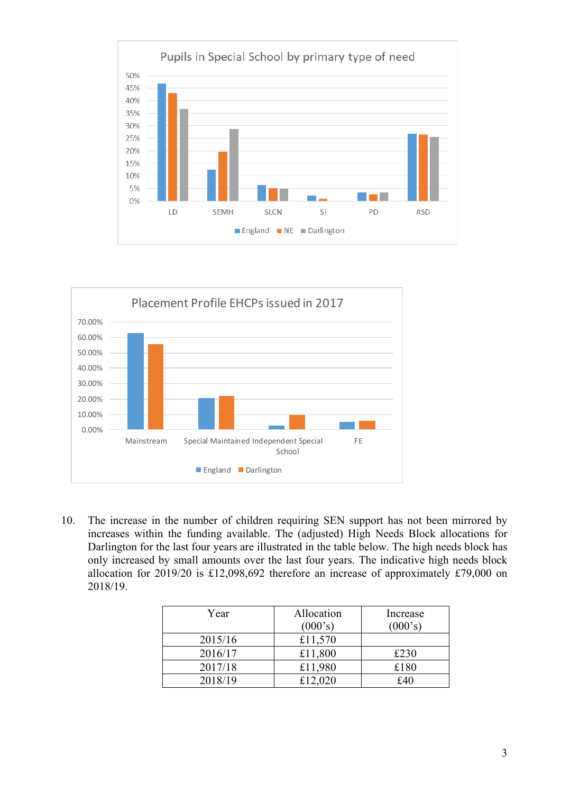



10. The increase in the number of children requiring SEN support has not been mirrored by increases within the funding available. The (adjusted) High Needs Block allocations for Darlington for the last four years are illustrated in the table below. The high needs block has only increased by small amounts over the last four years. The indicative high needs block allocation for 2019/20 is £12,098,692 therefore an increase of approximately £79,000 on 2018/19.

| Year    | Allocation | Increase |
|---------|------------|----------|
|         | (000's)    | (000's)  |
| 2015/16 | £11,570    |          |
| 2016/17 | £11,800    | £230     |
| 2017/18 | £11,980    | £180     |
| 2018/19 | £12,020    | f40      |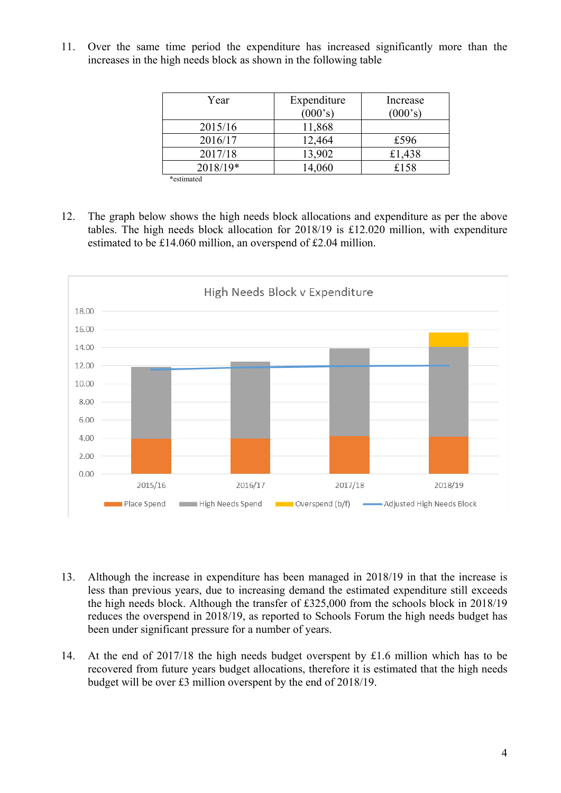11. Over the same time period the expenditure has increased significantly more than the increases in the high needs block as shown in the following table

| Year       | Expenditure | Increase |
|------------|-------------|----------|
|            | (000's)     | (000's)  |
| 2015/16    | 11,868      |          |
| 2016/17    | 12,464      | £596     |
| 2017/18    | 13,902      | £1,438   |
| 2018/19*   | 14,060      | £158     |
| *estimated |             |          |

 estimated to be £14.060 million, an overspend of £2.04 million. 12. The graph below shows the high needs block allocations and expenditure as per the above tables. The high needs block allocation for 2018/19 is £12.020 million, with expenditure



- 13. Although the increase in expenditure has been managed in 2018/19 in that the increase is less than previous years, due to increasing demand the estimated expenditure still exceeds the high needs block. Although the transfer of £325,000 from the schools block in 2018/19 reduces the overspend in 2018/19, as reported to Schools Forum the high needs budget has been under significant pressure for a number of years.
- 14. At the end of 2017/18 the high needs budget overspent by £1.6 million which has to be recovered from future years budget allocations, therefore it is estimated that the high needs budget will be over £3 million overspent by the end of 2018/19.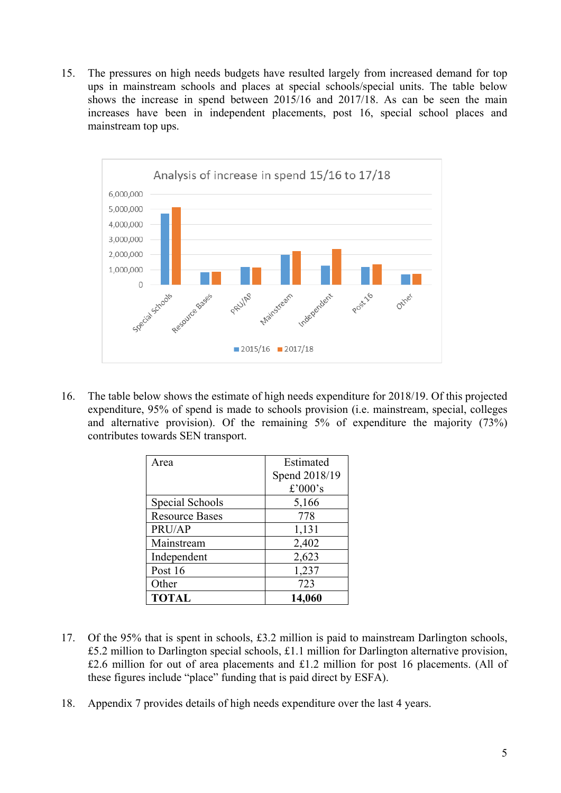15. The pressures on high needs budgets have resulted largely from increased demand for top ups in mainstream schools and places at special schools/special units. The table below shows the increase in spend between 2015/16 and 2017/18. As can be seen the main increases have been in independent placements, post 16, special school places and mainstream top ups.



16. The table below shows the estimate of high needs expenditure for 2018/19. Of this projected expenditure, 95% of spend is made to schools provision (i.e. mainstream, special, colleges and alternative provision). Of the remaining 5% of expenditure the majority (73%) contributes towards SEN transport.

| Area                  | Estimated     |
|-----------------------|---------------|
|                       | Spend 2018/19 |
|                       | £'000's       |
| Special Schools       | 5,166         |
| <b>Resource Bases</b> | 778           |
| PRU/AP                | 1,131         |
| Mainstream            | 2,402         |
| Independent           | 2,623         |
| Post 16               | 1,237         |
| Other                 | 723           |
| <b>TOTAL</b>          | 14,060        |

- 17. Of the 95% that is spent in schools, £3.2 million is paid to mainstream Darlington schools, £5.2 million to Darlington special schools, £1.1 million for Darlington alternative provision, £2.6 million for out of area placements and £1.2 million for post 16 placements. (All of these figures include "place" funding that is paid direct by ESFA).
- 18. Appendix 7 provides details of high needs expenditure over the last 4 years.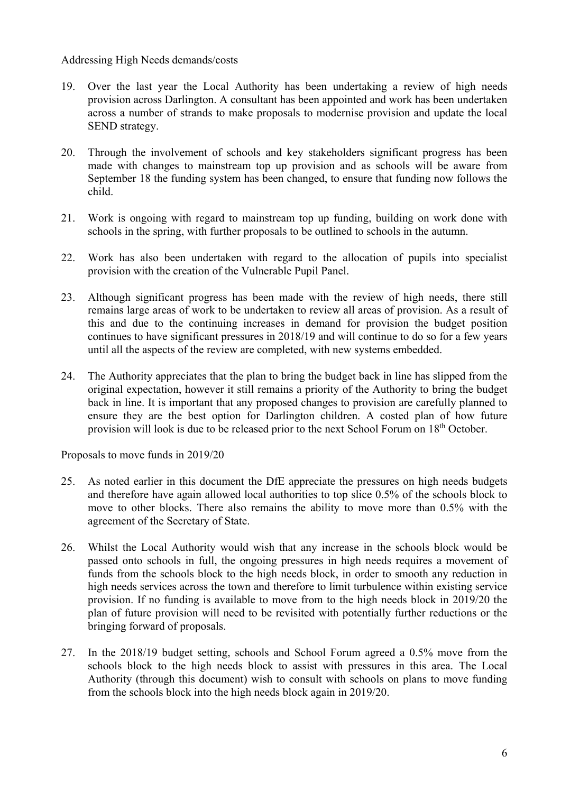### Addressing High Needs demands/costs

- 19. Over the last year the Local Authority has been undertaking a review of high needs provision across Darlington. A consultant has been appointed and work has been undertaken across a number of strands to make proposals to modernise provision and update the local SEND strategy.
- 20. Through the involvement of schools and key stakeholders significant progress has been made with changes to mainstream top up provision and as schools will be aware from September 18 the funding system has been changed, to ensure that funding now follows the child.
- 21. Work is ongoing with regard to mainstream top up funding, building on work done with schools in the spring, with further proposals to be outlined to schools in the autumn.
- 22. Work has also been undertaken with regard to the allocation of pupils into specialist provision with the creation of the Vulnerable Pupil Panel.
- 23. Although significant progress has been made with the review of high needs, there still remains large areas of work to be undertaken to review all areas of provision. As a result of this and due to the continuing increases in demand for provision the budget position continues to have significant pressures in 2018/19 and will continue to do so for a few years until all the aspects of the review are completed, with new systems embedded.
- 24. The Authority appreciates that the plan to bring the budget back in line has slipped from the original expectation, however it still remains a priority of the Authority to bring the budget back in line. It is important that any proposed changes to provision are carefully planned to ensure they are the best option for Darlington children. A costed plan of how future provision will look is due to be released prior to the next School Forum on 18<sup>th</sup> October.

Proposals to move funds in 2019/20

- 25. As noted earlier in this document the DfE appreciate the pressures on high needs budgets and therefore have again allowed local authorities to top slice 0.5% of the schools block to move to other blocks. There also remains the ability to move more than 0.5% with the agreement of the Secretary of State.
- 26. Whilst the Local Authority would wish that any increase in the schools block would be passed onto schools in full, the ongoing pressures in high needs requires a movement of funds from the schools block to the high needs block, in order to smooth any reduction in high needs services across the town and therefore to limit turbulence within existing service provision. If no funding is available to move from to the high needs block in 2019/20 the plan of future provision will need to be revisited with potentially further reductions or the bringing forward of proposals.
- 27. In the 2018/19 budget setting, schools and School Forum agreed a 0.5% move from the schools block to the high needs block to assist with pressures in this area. The Local Authority (through this document) wish to consult with schools on plans to move funding from the schools block into the high needs block again in 2019/20.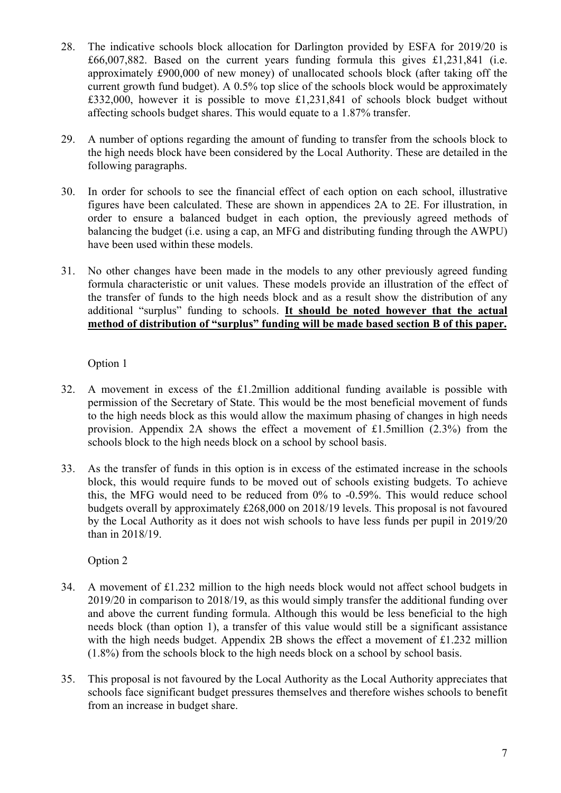- 28. The indicative schools block allocation for Darlington provided by ESFA for 2019/20 is £66,007,882. Based on the current years funding formula this gives £1,231,841 (i.e. approximately £900,000 of new money) of unallocated schools block (after taking off the current growth fund budget). A 0.5% top slice of the schools block would be approximately £332,000, however it is possible to move £1,231,841 of schools block budget without affecting schools budget shares. This would equate to a 1.87% transfer.
- 29. A number of options regarding the amount of funding to transfer from the schools block to the high needs block have been considered by the Local Authority. These are detailed in the following paragraphs.
- 30. In order for schools to see the financial effect of each option on each school, illustrative figures have been calculated. These are shown in appendices 2A to 2E. For illustration, in order to ensure a balanced budget in each option, the previously agreed methods of balancing the budget (i.e. using a cap, an MFG and distributing funding through the AWPU) have been used within these models.
- 31. No other changes have been made in the models to any other previously agreed funding formula characteristic or unit values. These models provide an illustration of the effect of the transfer of funds to the high needs block and as a result show the distribution of any additional "surplus" funding to schools. **It should be noted however that the actual method of distribution of "surplus" funding will be made based section B of this paper.**

Option 1

- 32. A movement in excess of the £1.2million additional funding available is possible with permission of the Secretary of State. This would be the most beneficial movement of funds to the high needs block as this would allow the maximum phasing of changes in high needs provision. Appendix 2A shows the effect a movement of £1.5million  $(2.3\%)$  from the schools block to the high needs block on a school by school basis.
- 33. As the transfer of funds in this option is in excess of the estimated increase in the schools block, this would require funds to be moved out of schools existing budgets. To achieve this, the MFG would need to be reduced from 0% to -0.59%. This would reduce school budgets overall by approximately £268,000 on 2018/19 levels. This proposal is not favoured by the Local Authority as it does not wish schools to have less funds per pupil in 2019/20 than in 2018/19.

Option 2

- 34. A movement of £1.232 million to the high needs block would not affect school budgets in 2019/20 in comparison to 2018/19, as this would simply transfer the additional funding over and above the current funding formula. Although this would be less beneficial to the high needs block (than option 1), a transfer of this value would still be a significant assistance with the high needs budget. Appendix 2B shows the effect a movement of  $\pounds$ 1.232 million (1.8%) from the schools block to the high needs block on a school by school basis.
- 35. This proposal is not favoured by the Local Authority as the Local Authority appreciates that schools face significant budget pressures themselves and therefore wishes schools to benefit from an increase in budget share.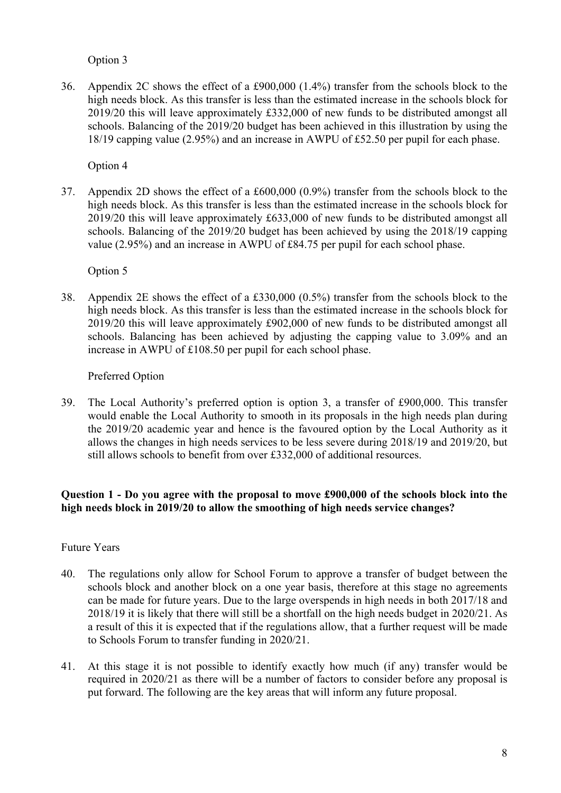# Option 3

36. Appendix 2C shows the effect of a £900,000 (1.4%) transfer from the schools block to the high needs block. As this transfer is less than the estimated increase in the schools block for 2019/20 this will leave approximately £332,000 of new funds to be distributed amongst all schools. Balancing of the 2019/20 budget has been achieved in this illustration by using the 18/19 capping value (2.95%) and an increase in AWPU of £52.50 per pupil for each phase.

Option 4

37. Appendix 2D shows the effect of a £600,000 (0.9%) transfer from the schools block to the high needs block. As this transfer is less than the estimated increase in the schools block for 2019/20 this will leave approximately £633,000 of new funds to be distributed amongst all schools. Balancing of the 2019/20 budget has been achieved by using the 2018/19 capping value (2.95%) and an increase in AWPU of £84.75 per pupil for each school phase.

Option 5

38. Appendix 2E shows the effect of a £330,000 (0.5%) transfer from the schools block to the high needs block. As this transfer is less than the estimated increase in the schools block for 2019/20 this will leave approximately £902,000 of new funds to be distributed amongst all schools. Balancing has been achieved by adjusting the capping value to 3.09% and an increase in AWPU of £108.50 per pupil for each school phase.

### Preferred Option

39. The Local Authority's preferred option is option 3, a transfer of £900,000. This transfer would enable the Local Authority to smooth in its proposals in the high needs plan during the 2019/20 academic year and hence is the favoured option by the Local Authority as it allows the changes in high needs services to be less severe during 2018/19 and 2019/20, but still allows schools to benefit from over £332,000 of additional resources.

## **Question 1 - Do you agree with the proposal to move £900,000 of the schools block into the high needs block in 2019/20 to allow the smoothing of high needs service changes?**

## Future Years

- 40. The regulations only allow for School Forum to approve a transfer of budget between the schools block and another block on a one year basis, therefore at this stage no agreements can be made for future years. Due to the large overspends in high needs in both 2017/18 and 2018/19 it is likely that there will still be a shortfall on the high needs budget in 2020/21. As a result of this it is expected that if the regulations allow, that a further request will be made to Schools Forum to transfer funding in 2020/21.
- 41. At this stage it is not possible to identify exactly how much (if any) transfer would be required in 2020/21 as there will be a number of factors to consider before any proposal is put forward. The following are the key areas that will inform any future proposal.